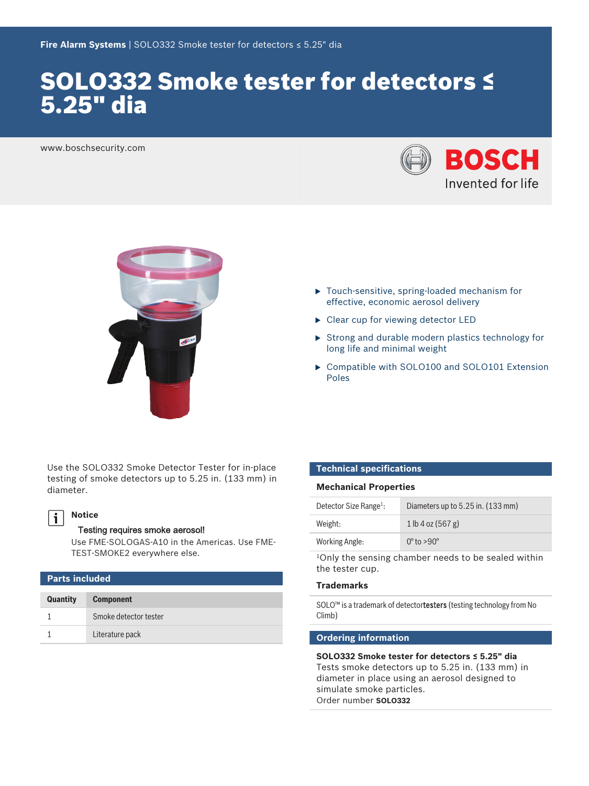# SOLO332 Smoke tester for detectors ≤ 5.25" dia

www.boschsecurity.com





Use the SOLO332 Smoke Detector Tester for in-place testing of smoke detectors up to 5.25 in. (133 mm) in diameter.

#### **Notice**  $\mathbf i$

### Testing requires smoke aerosol!

Use FME-SOLOGAS-A10 in the Americas. Use FME-TEST-SMOKE2 everywhere else.

| <b>Parts included</b> |                       |  |
|-----------------------|-----------------------|--|
| <b>Quantity</b>       | <b>Component</b>      |  |
|                       | Smoke detector tester |  |
|                       | Literature pack       |  |

- $\blacktriangleright$  Touch-sensitive, spring-loaded mechanism for effective, economic aerosol delivery
- $\blacktriangleright$  Clear cup for viewing detector LED
- $\triangleright$  Strong and durable modern plastics technology for long life and minimal weight
- ▶ Compatible with SOLO100 and SOLO101 Extension Poles

#### **Technical specifications**

#### **Mechanical Properties**

| Detector Size Range <sup>1</sup> : | Diameters up to 5.25 in. (133 mm) |
|------------------------------------|-----------------------------------|
| Weight:                            | $1$ lb 4 oz (567 g)               |
| Working Angle:                     | $0^\circ$ to $>90^\circ$          |

<sup>1</sup>Only the sensing chamber needs to be sealed within the tester cup.

# **Trademarks**

SOLO™ is a trademark of detectortesters (testing technology from No Climb)

# **Ordering information**

**SOLO332 Smoke tester for detectors ≤ 5.25" dia** Tests smoke detectors up to 5.25 in. (133 mm) in diameter in place using an aerosol designed to simulate smoke particles. Order number **SOLO332**